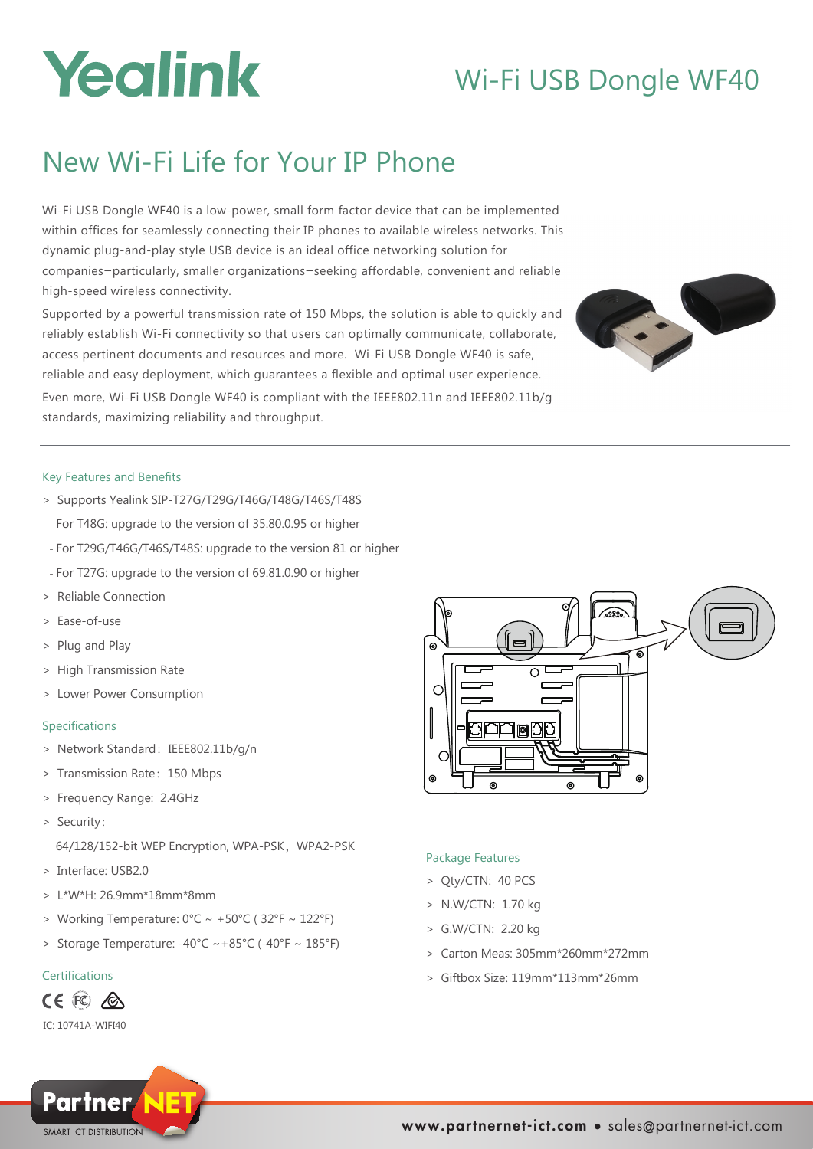# Yealink

# Wi-Fi USB Dongle WF40

# New Wi-Fi Life for Your IP Phone

Wi-Fi USB Dongle WF40 is a low-power, small form factor device that can be implemented within offices for seamlessly connecting their IP phones to available wireless networks. This dynamic plug-and-play style USB device is an ideal office networking solution for companies—particularly, smaller organizations—seeking affordable, convenient and reliable high-speed wireless connectivity.

Supported by a powerful transmission rate of 150 Mbps, the solution is able to quickly and reliably establish Wi-Fi connectivity so that users can optimally communicate, collaborate, access pertinent documents and resources and more. Wi-Fi USB Dongle WF40 is safe, reliable and easy deployment, which guarantees a flexible and optimal user experience. Even more, Wi-Fi USB Dongle WF40 is compliant with the IEEE802.11n and IEEE802.11b/g

## Key Features and Benefits

> Supports Yealink SIP-T27G/T29G/T46G/T48G/T46S/T48S

standards, maximizing reliability and throughput.

- For T48G: upgrade to the version of 35.80.0.95 or higher
- For T29G/T46G/T46S/T48S: upgrade to the version 81 or higher
- For T27G: upgrade to the version of 69.81.0.90 or higher
- > Reliable Connection
- > Ease-of-use
- > Plug and Play
- > High Transmission Rate
- > Lower Power Consumption

### Specifications

- > Network Standard: IEEE802.11b/g/n
- > Transmission Rate:150 Mbps
- > Frequency Range: 2.4GHz
- > Security:

64/128/152-bit WEP Encryption, WPA-PSK, WPA2-PSK

- > Interface: USB2.0
- $> 1*W*H: 26.9mm*18mm*8mm$
- > Working Temperature:  $0^{\circ}C \sim +50^{\circ}C$  (32°F ~ 122°F)
- > Storage Temperature:  $-40^{\circ}$ C  $\sim +85^{\circ}$ C ( $-40^{\circ}$ F  $\sim$  185 $^{\circ}$ F)

# Certifications

# CE FO A

IC: 10741A-WIFI40





# Package Features

- > Qty/CTN: 40 PCS
- > N.W/CTN: 1.70 kg
- > G.W/CTN: 2.20 kg
- > Carton Meas: 305mm\*260mm\*272mm
- > Giftbox Size: 119mm\*113mm\*26mm